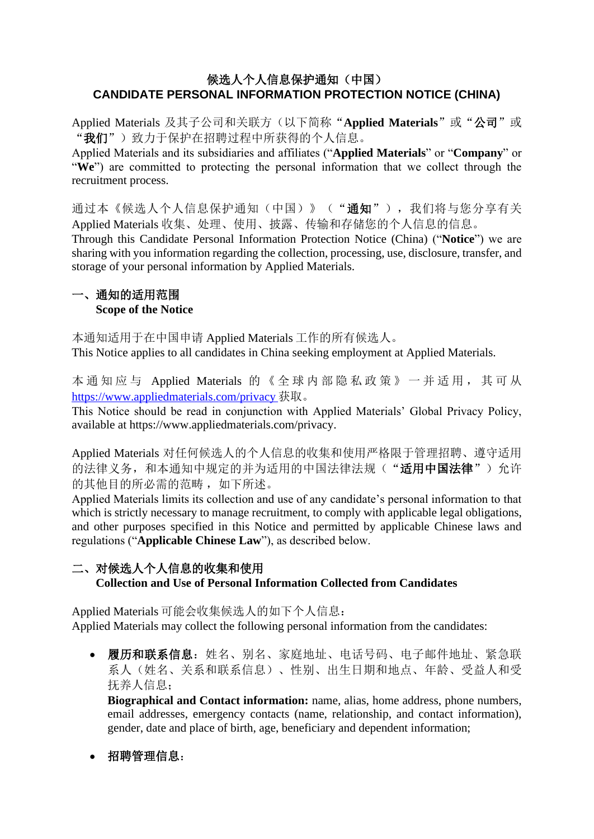### 候选人个人信息保护通知(中国) **CANDIDATE PERSONAL INFORMATION PROTECTION NOTICE (CHINA)**

Applied Materials 及其子公司和关联方(以下简称"Applied Materials"或"公司"或 "我们")致力于保护在招聘过程中所获得的个人信息。

Applied Materials and its subsidiaries and affiliates ("**Applied Materials**" or "**Company**" or "We") are committed to protecting the personal information that we collect through the recruitment process.

通过本《候选人个人信息保护通知(中国)》("通知"),我们将与您分享有关 Applied Materials 收集、处理、使用、披露、传输和存储您的个人信息的信息。

Through this Candidate Personal Information Protection Notice (China) ("**Notice**") we are sharing with you information regarding the collection, processing, use, disclosure, transfer, and storage of your personal information by Applied Materials.

#### 一、通知的适用范围 **Scope of the Notice**

本通知适用于在中国申请 Applied Materials 工作的所有候选人。 This Notice applies to all candidates in China seeking employment at Applied Materials.

本 通 知 应 与 Applied Materials 的 《 全 球 内 部 隐 私 政 策 》 一 并 适 用 , 其 可 从 <https://www.appliedmaterials.com/privacy> 获取。

This Notice should be read in conjunction with Applied Materials' Global Privacy Policy, available at https://www.appliedmaterials.com/privacy.

Applied Materials 对任何候选人的个人信息的收集和使用严格限于管理招聘、遵守适用 的法律义务,和本通知中规定的并为适用的中国法律法规("适用中国法律")允许 的其他目的所必需的范畴,如下所述。

Applied Materials limits its collection and use of any candidate's personal information to that which is strictly necessary to manage recruitment, to comply with applicable legal obligations, and other purposes specified in this Notice and permitted by applicable Chinese laws and regulations ("**Applicable Chinese Law**"), as described below.

# 二、对候选人个人信息的收集和使用 **Collection and Use of Personal Information Collected from Candidates**

Applied Materials 可能会收集候选人的如下个人信息: Applied Materials may collect the following personal information from the candidates:

• 履历和联系信息: 姓名、别名、家庭地址、电话号码、电子邮件地址、紧急联 系人(姓名、关系和联系信息)、性别、出生日期和地点、年龄、受益人和受 抚养人信息;

**Biographical and Contact information:** name, alias, home address, phone numbers, email addresses, emergency contacts (name, relationship, and contact information), gender, date and place of birth, age, beneficiary and dependent information;

• 招聘管理信息: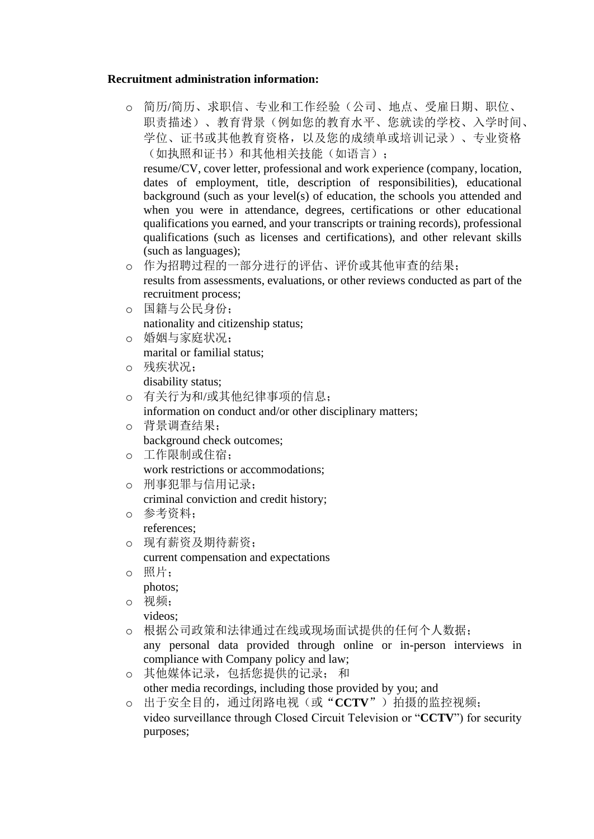#### **Recruitment administration information:**

o 简历/简历、求职信、专业和工作经验(公司、地点、受雇日期、职位、 职责描述)、教育背景(例如您的教育水平、您就读的学校、入学时间、 学位、证书或其他教育资格,以及您的成绩单或培训记录)、专业资格 (如执照和证书)和其他相关技能(如语言);

resume/CV, cover letter, professional and work experience (company, location, dates of employment, title, description of responsibilities), educational background (such as your level(s) of education, the schools you attended and when you were in attendance, degrees, certifications or other educational qualifications you earned, and your transcripts or training records), professional qualifications (such as licenses and certifications), and other relevant skills (such as languages);

o 作为招聘过程的一部分进行的评估、评价或其他审查的结果;

results from assessments, evaluations, or other reviews conducted as part of the recruitment process;

- o 国籍与公民身份; nationality and citizenship status;
- o 婚姻与家庭状况; marital or familial status;
- o 残疾状况; disability status;
- o 有关行为和/或其他纪律事项的信息;

information on conduct and/or other disciplinary matters;

- o 背景调查结果; background check outcomes;
- o 工作限制或住宿; work restrictions or accommodations;
- o 刑事犯罪与信用记录; criminal conviction and credit history;
- o 参考资料; references;
- o 现有薪资及期待薪资;

current compensation and expectations

o 照片;

photos;

o 视频;

videos;

o 根据公司政策和法律通过在线或现场面试提供的任何个人数据;

any personal data provided through online or in-person interviews in compliance with Company policy and law;

- o 其他媒体记录,包括您提供的记录; 和 other media recordings, including those provided by you; and
- o 出于安全目的,通过闭路电视(或"**CCTV**")拍摄的监控视频; video surveillance through Closed Circuit Television or "**CCTV**") for security purposes;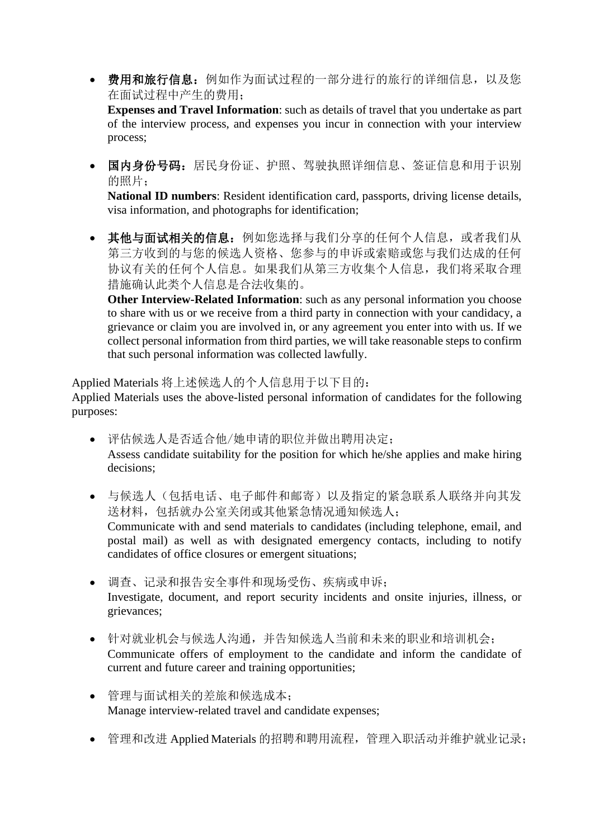• 费用和旅行信息:例如作为面试过程的一部分进行的旅行的详细信息,以及您 在面试过程中产生的费用;

**Expenses and Travel Information**: such as details of travel that you undertake as part of the interview process, and expenses you incur in connection with your interview process;

• 国内身份号码: 居民身份证、护照、驾驶执照详细信息、签证信息和用于识别 的照片;

**National ID numbers**: Resident identification card, passports, driving license details, visa information, and photographs for identification;

• 其他与面试相关的信息:例如您选择与我们分享的任何个人信息,或者我们从 第三方收到的与您的候选人资格、您参与的申诉或索赔或您与我们达成的任何 协议有关的任何个人信息。如果我们从第三方收集个人信息,我们将采取合理 措施确认此类个人信息是合法收集的。

**Other Interview-Related Information**: such as any personal information you choose to share with us or we receive from a third party in connection with your candidacy, a grievance or claim you are involved in, or any agreement you enter into with us. If we collect personal information from third parties, we will take reasonable steps to confirm that such personal information was collected lawfully.

Applied Materials 将上述候选人的个人信息用于以下目的:

Applied Materials uses the above-listed personal information of candidates for the following purposes:

- 评估候选人是否适合他/她申请的职位并做出聘用决定; Assess candidate suitability for the position for which he/she applies and make hiring decisions;
- 与候选人(包括电话、电子邮件和邮寄)以及指定的紧急联系人联络并向其发 送材料,包括就办公室关闭或其他紧急情况通知候选人; Communicate with and send materials to candidates (including telephone, email, and postal mail) as well as with designated emergency contacts, including to notify candidates of office closures or emergent situations;
- 调查、记录和报告安全事件和现场受伤、疾病或申诉; Investigate, document, and report security incidents and onsite injuries, illness, or grievances;
- 针对就业机会与候选人沟通,并告知候选人当前和未来的职业和培训机会; Communicate offers of employment to the candidate and inform the candidate of current and future career and training opportunities;
- 管理与面试相关的差旅和候选成本; Manage interview-related travel and candidate expenses;
- 管理和改进 Applied Materials 的招聘和聘用流程,管理入职活动并维护就业记录;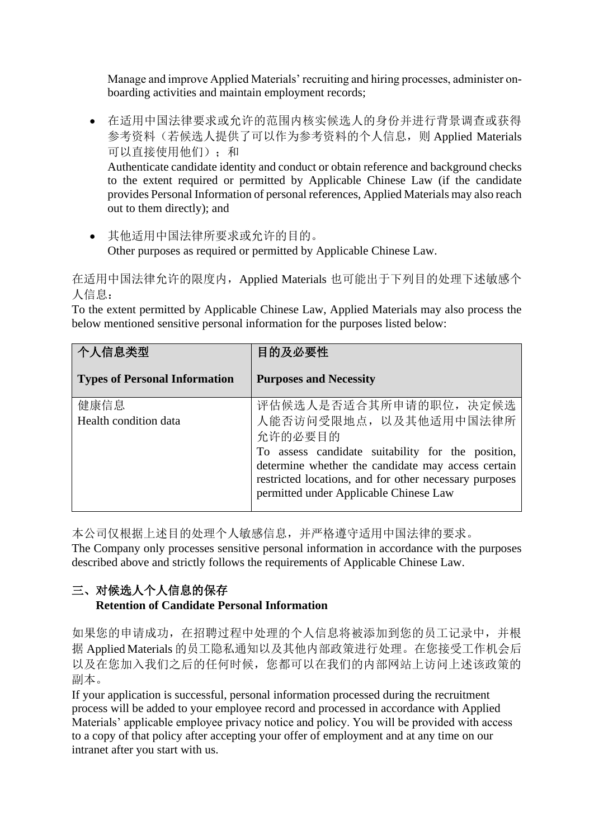Manage and improve Applied Materials' recruiting and hiring processes, administer onboarding activities and maintain employment records;

• 在适用中国法律要求或允许的范围内核实候选人的身份并进行背景调查或获得 参考资料(若候选人提供了可以作为参考资料的个人信息,则 Applied Materials 可以直接使用他们);和 Authenticate candidate identity and conduct or obtain reference and background checks to the extent required or permitted by Applicable Chinese Law (if the candidate provides Personal Information of personal references, Applied Materials may also reach

out to them directly); and

• 其他适用中国法律所要求或允许的目的。 Other purposes as required or permitted by Applicable Chinese Law.

在适用中国法律允许的限度内,Applied Materials 也可能出于下列目的处理下述敏感个 人信息:

To the extent permitted by Applicable Chinese Law, Applied Materials may also process the below mentioned sensitive personal information for the purposes listed below:

| 个人信息类型                               | 目的及必要性                                                                                                                                                                                                                                                                    |
|--------------------------------------|---------------------------------------------------------------------------------------------------------------------------------------------------------------------------------------------------------------------------------------------------------------------------|
| <b>Types of Personal Information</b> | <b>Purposes and Necessity</b>                                                                                                                                                                                                                                             |
| 健康信息<br>Health condition data        | 评估候选人是否适合其所申请的职位,决定候选<br>人能否访问受限地点, 以及其他适用中国法律所<br>允许的必要目的<br>To assess candidate suitability for the position,<br>determine whether the candidate may access certain<br>restricted locations, and for other necessary purposes<br>permitted under Applicable Chinese Law |

本公司仅根据上述目的处理个人敏感信息,并严格遵守适用中国法律的要求。

The Company only processes sensitive personal information in accordance with the purposes described above and strictly follows the requirements of Applicable Chinese Law.

## 三、对候选人个人信息的保存 **Retention of Candidate Personal Information**

如果您的申请成功,在招聘过程中处理的个人信息将被添加到您的员工记录中,并根 据 Applied Materials 的员工隐私通知以及其他内部政策进行处理。在您接受工作机会后 以及在您加入我们之后的任何时候,您都可以在我们的内部网站上访问上述该政策的 副本。

If your application is successful, personal information processed during the recruitment process will be added to your employee record and processed in accordance with Applied Materials' applicable employee privacy notice and policy. You will be provided with access to a copy of that policy after accepting your offer of employment and at any time on our intranet after you start with us.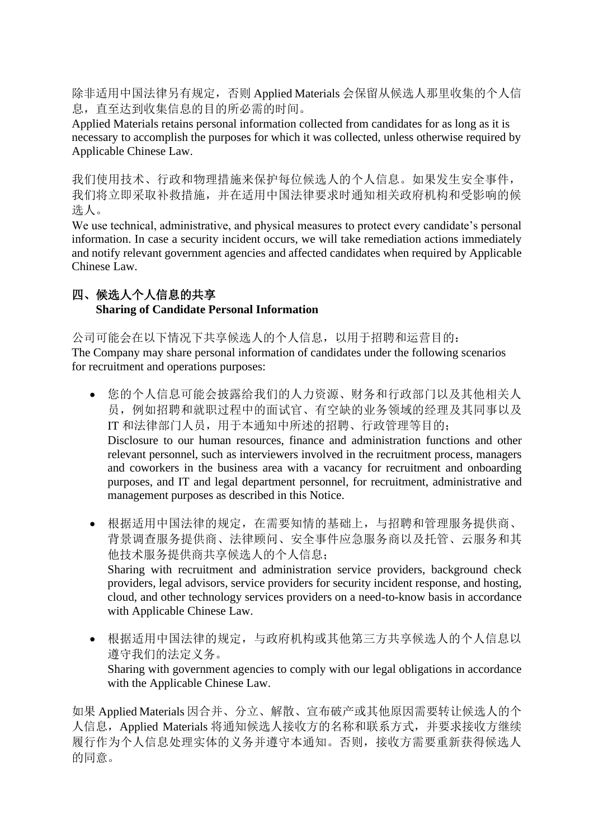除非适用中国法律另有规定,否则 Applied Materials 会保留从候选人那里收集的个人信 息,直至达到收集信息的目的所必需的时间。

Applied Materials retains personal information collected from candidates for as long as it is necessary to accomplish the purposes for which it was collected, unless otherwise required by Applicable Chinese Law.

我们使用技术、行政和物理措施来保护每位候选人的个人信息。如果发生安全事件, 我们将立即采取补救措施,并在适用中国法律要求时通知相关政府机构和受影响的候 选人。

We use technical, administrative, and physical measures to protect every candidate's personal information. In case a security incident occurs, we will take remediation actions immediately and notify relevant government agencies and affected candidates when required by Applicable Chinese Law.

## 四、候选人个人信息的共享 **Sharing of Candidate Personal Information**

公司可能会在以下情况下共享候选人的个人信息,以用于招聘和运营目的: The Company may share personal information of candidates under the following scenarios for recruitment and operations purposes:

- 您的个人信息可能会披露给我们的人力资源、财务和行政部门以及其他相关人 员,例如招聘和就职过程中的面试官、有空缺的业务领域的经理及其同事以及 IT 和法律部门人员,用于本通知中所述的招聘、行政管理等目的; Disclosure to our human resources, finance and administration functions and other relevant personnel, such as interviewers involved in the recruitment process, managers and coworkers in the business area with a vacancy for recruitment and onboarding purposes, and IT and legal department personnel, for recruitment, administrative and management purposes as described in this Notice.
- 根据适用中国法律的规定,在需要知情的基础上,与招聘和管理服务提供商、 背景调查服务提供商、法律顾问、安全事件应急服务商以及托管、云服务和其 他技术服务提供商共享候选人的个人信息; Sharing with recruitment and administration service providers, background check providers, legal advisors, service providers for security incident response, and hosting, cloud, and other technology services providers on a need-to-know basis in accordance with Applicable Chinese Law.
- 根据适用中国法律的规定,与政府机构或其他第三方共享候选人的个人信息以 遵守我们的法定义务。 Sharing with government agencies to comply with our legal obligations in accordance with the Applicable Chinese Law.

如果 Applied Materials 因合并、分立、解散、宣布破产或其他原因需要转让候选人的个 人信息, Applied Materials 将通知候选人接收方的名称和联系方式, 并要求接收方继续 履行作为个人信息处理实体的义务并遵守本通知。否则,接收方需要重新获得候选人 的同意。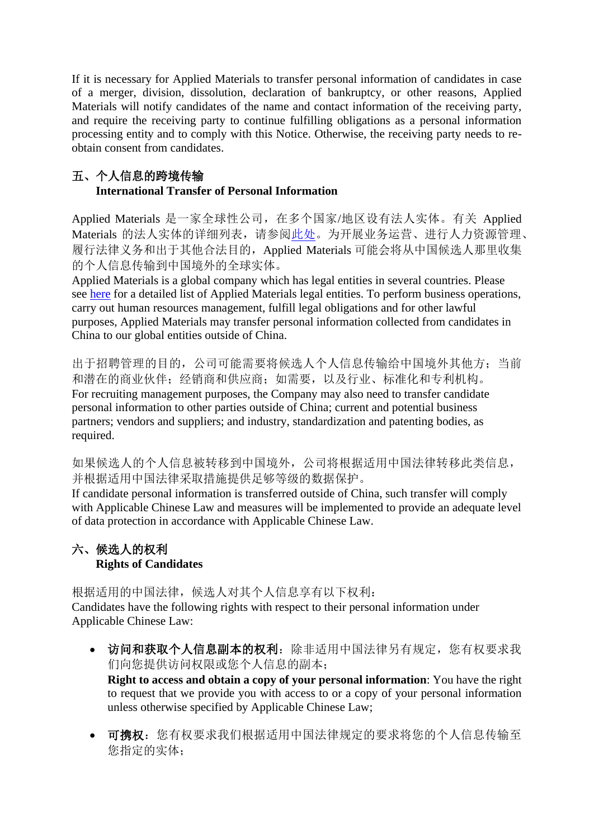If it is necessary for Applied Materials to transfer personal information of candidates in case of a merger, division, dissolution, declaration of bankruptcy, or other reasons, Applied Materials will notify candidates of the name and contact information of the receiving party, and require the receiving party to continue fulfilling obligations as a personal information processing entity and to comply with this Notice. Otherwise, the receiving party needs to reobtain consent from candidates.

## 五、个人信息的跨境传输 **International Transfer of Personal Information**

Applied Materials 是一家全球性公司,在多个国家/地区设有法人实体。有关 Applied Materials 的法人实体的详细列表,请参[阅此处。](https://www.appliedmaterials.com/company/contact/locations)为开展业务运营、进行人力资源管理、 履行法律义务和出于其他合法目的,Applied Materials 可能会将从中国候选人那里收集 的个人信息传输到中国境外的全球实体。

Applied Materials is a global company which has legal entities in several countries. Please see [here](https://www.appliedmaterials.com/company/contact/locations) for a detailed list of Applied Materials legal entities. To perform business operations, carry out human resources management, fulfill legal obligations and for other lawful purposes, Applied Materials may transfer personal information collected from candidates in China to our global entities outside of China.

出于招聘管理的目的,公司可能需要将候选人个人信息传输给中国境外其他方;当前 和潜在的商业伙伴;经销商和供应商;如需要,以及行业、标准化和专利机构。 For recruiting management purposes, the Company may also need to transfer candidate personal information to other parties outside of China; current and potential business partners; vendors and suppliers; and industry, standardization and patenting bodies, as required.

如果候选人的个人信息被转移到中国境外,公司将根据适用中国法律转移此类信息, 并根据适用中国法律采取措施提供足够等级的数据保护。

If candidate personal information is transferred outside of China, such transfer will comply with Applicable Chinese Law and measures will be implemented to provide an adequate level of data protection in accordance with Applicable Chinese Law.

# 六、候选人的权利 **Rights of Candidates**

根据适用的中国法律,候选人对其个人信息享有以下权利: Candidates have the following rights with respect to their personal information under Applicable Chinese Law:

• 访问和获取个人信息副本的权利:除非适用中国法律另有规定,您有权要求我 们向您提供访问权限或您个人信息的副本;

**Right to access and obtain a copy of your personal information**: You have the right to request that we provide you with access to or a copy of your personal information unless otherwise specified by Applicable Chinese Law;

• 可携权:您有权要求我们根据适用中国法律规定的要求将您的个人信息传输至 您指定的实体;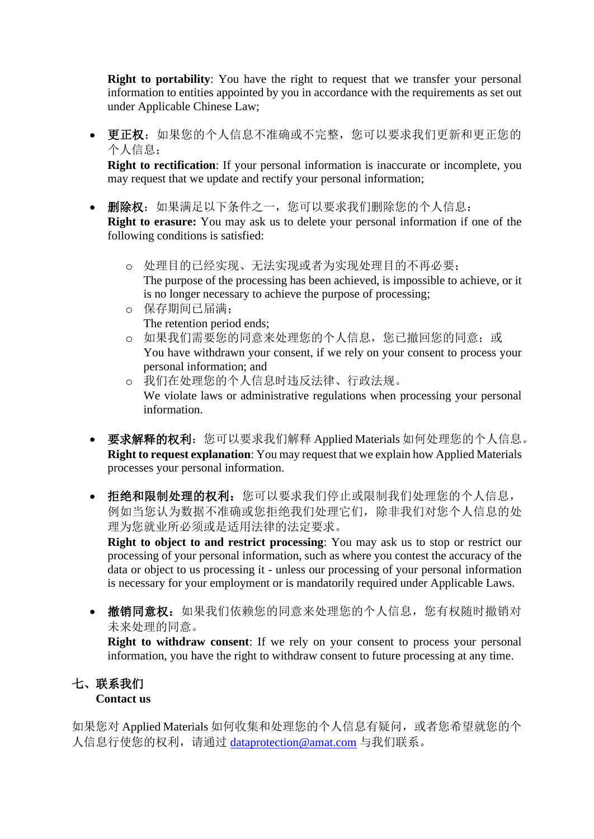**Right to portability**: You have the right to request that we transfer your personal information to entities appointed by you in accordance with the requirements as set out under Applicable Chinese Law;

• 更正权:如果您的个人信息不准确或不完整,您可以要求我们更新和更正您的 个人信息;

**Right to rectification**: If your personal information is inaccurate or incomplete, you may request that we update and rectify your personal information;

- 删除权:如果满足以下条件之一,您可以要求我们删除您的个人信息: **Right to erasure:** You may ask us to delete your personal information if one of the following conditions is satisfied:
	- o 处理目的已经实现、无法实现或者为实现处理目的不再必要; The purpose of the processing has been achieved, is impossible to achieve, or it is no longer necessary to achieve the purpose of processing;
	- o 保存期间已届满; The retention period ends;
	- o 如果我们需要您的同意来处理您的个人信息,您已撤回您的同意;或 You have withdrawn your consent, if we rely on your consent to process your personal information; and
	- o 我们在处理您的个人信息时违反法律、行政法规。 We violate laws or administrative regulations when processing your personal information.
- 要求解释的权利: 您可以要求我们解释 Applied Materials 如何处理您的个人信息。 **Right to request explanation**: You may request that we explain how Applied Materials processes your personal information.
- 拒绝和限制处理的权利:您可以要求我们停止或限制我们处理您的个人信息, 例如当您认为数据不准确或您拒绝我们处理它们,除非我们对您个人信息的处 理为您就业所必须或是适用法律的法定要求。

**Right to object to and restrict processing**: You may ask us to stop or restrict our processing of your personal information, such as where you contest the accuracy of the data or object to us processing it - unless our processing of your personal information is necessary for your employment or is mandatorily required under Applicable Laws.

• 撤销同意权:如果我们依赖您的同意来处理您的个人信息,您有权随时撤销对 未来处理的同意。

**Right to withdraw consent**: If we rely on your consent to process your personal information, you have the right to withdraw consent to future processing at any time.

### 七、联系我们 **Contact us**

如果您对 Applied Materials 如何收集和处理您的个人信息有疑问,或者您希望就您的个 人信息行使您的权利,请通过 [dataprotection@amat.com](mailto:dataprotection@amat.com) 与我们联系。